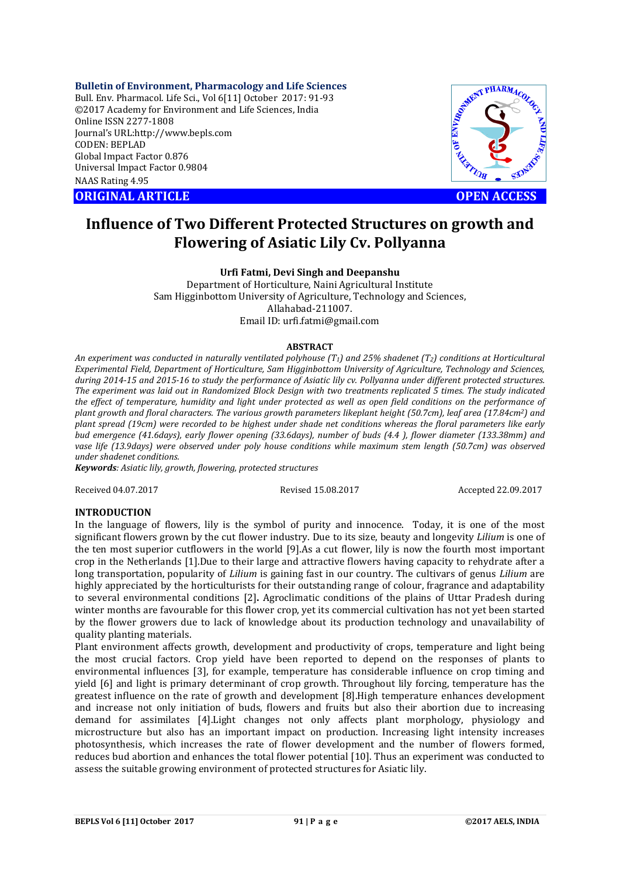**Bulletin of Environment, Pharmacology and Life Sciences**

Bull. Env. Pharmacol. Life Sci., Vol 6[11] October 2017: 91-93 ©2017 Academy for Environment and Life Sciences, India Online ISSN 2277-1808 Journal's URL:http://www.bepls.com CODEN: BEPLAD Global Impact Factor 0.876 Universal Impact Factor 0.9804 NAAS Rating 4.95 CORIGINAL ARTICLE<br>
ORIGINAL ARTICLE<br>
ORIGINAL ARTICLE<br>
ORIGINAL ARTICLE<br>
ORIGINAL ARTICLE<br>
ORIGINAL ARTICLE<br>
ORIGINAL ARTICLE<br>
OPEN ACCESS



# **Influence of Two Different Protected Structures on growth and Flowering of Asiatic Lily Cv. Pollyanna**

**Urfi Fatmi, Devi Singh and Deepanshu**

Department of Horticulture, Naini Agricultural Institute Sam Higginbottom University of Agriculture, Technology and Sciences, Allahabad-211007. Email ID: urfi.fatmi@gmail.com

## **ABSTRACT**

*An experiment was conducted in naturally ventilated polyhouse (T1) and 25% shadenet (T2) conditions at Horticultural Experimental Field, Department of Horticulture, Sam Higginbottom University of Agriculture, Technology and Sciences, during 2014-15 and 2015-16 to study the performance of Asiatic lily cv. Pollyanna under different protected structures. The experiment was laid out in Randomized Block Design with two treatments replicated 5 times. The study indicated the effect of temperature, humidity and light under protected as well as open field conditions on the performance of plant growth and floral characters. The various growth parameters likeplant height (50.7cm), leaf area (17.84cm2) and plant spread (19cm) were recorded to be highest under shade net conditions whereas the floral parameters like early bud emergence (41.6days), early flower opening (33.6days), number of buds (4.4 ), flower diameter (133.38mm) and*  vase life (13.9days) were observed under poly house conditions while maximum stem length (50.7cm) was observed *under shadenet conditions.*

*Keywords: Asiatic lily, growth, flowering, protected structures*

Received 04.07.2017 Revised 15.08.2017 Accepted 22.09.2017

# **INTRODUCTION**

In the language of flowers, lily is the symbol of purity and innocence. Today, it is one of the most significant flowers grown by the cut flower industry. Due to its size, beauty and longevity *Lilium* is one of the ten most superior cutflowers in the world [9].As a cut flower, lily is now the fourth most important crop in the Netherlands [1].Due to their large and attractive flowers having capacity to rehydrate after a long transportation, popularity of *Lilium* is gaining fast in our country. The cultivars of genus *Lilium* are highly appreciated by the horticulturists for their outstanding range of colour, fragrance and adaptability to several environmental conditions [2]**.** Agroclimatic conditions of the plains of Uttar Pradesh during winter months are favourable for this flower crop, yet its commercial cultivation has not yet been started by the flower growers due to lack of knowledge about its production technology and unavailability of quality planting materials.

Plant environment affects growth, development and productivity of crops, temperature and light being the most crucial factors. Crop yield have been reported to depend on the responses of plants to environmental influences [3], for example, temperature has considerable influence on crop timing and yield [6] and light is primary determinant of crop growth. Throughout lily forcing, temperature has the greatest influence on the rate of growth and development [8].High temperature enhances development and increase not only initiation of buds, flowers and fruits but also their abortion due to increasing demand for assimilates [4].Light changes not only affects plant morphology, physiology and microstructure but also has an important impact on production. Increasing light intensity increases photosynthesis, which increases the rate of flower development and the number of flowers formed, reduces bud abortion and enhances the total flower potential [10]. Thus an experiment was conducted to assess the suitable growing environment of protected structures for Asiatic lily.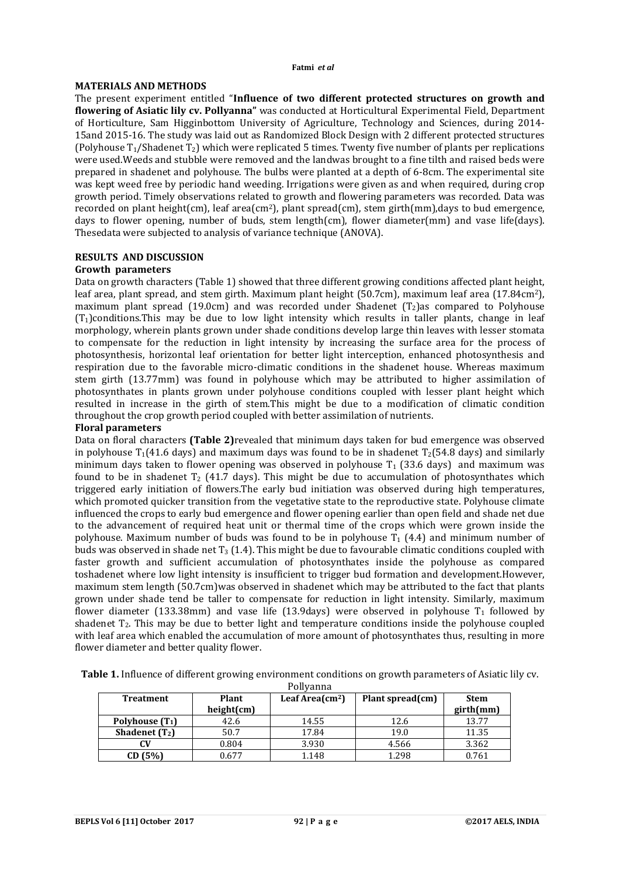#### **Fatmi** *et al*

## **MATERIALS AND METHODS**

The present experiment entitled "**Influence of two different protected structures on growth and flowering of Asiatic lily cv. Pollyanna"** was conducted at Horticultural Experimental Field, Department of Horticulture, Sam Higginbottom University of Agriculture, Technology and Sciences, during 2014- 15and 2015-16. The study was laid out as Randomized Block Design with 2 different protected structures (Polyhouse  $T_1$ /Shadenet  $T_2$ ) which were replicated 5 times. Twenty five number of plants per replications were used.Weeds and stubble were removed and the landwas brought to a fine tilth and raised beds were prepared in shadenet and polyhouse. The bulbs were planted at a depth of 6-8cm. The experimental site was kept weed free by periodic hand weeding. Irrigations were given as and when required, during crop growth period. Timely observations related to growth and flowering parameters was recorded. Data was recorded on plant height(cm), leaf area(cm<sup>2</sup>), plant spread(cm), stem girth(mm),days to bud emergence, days to flower opening, number of buds, stem length(cm), flower diameter(mm) and vase life(days). Thesedata were subjected to analysis of variance technique (ANOVA).

# **RESULTS AND DISCUSSION**

## **Growth parameters**

Data on growth characters (Table 1) showed that three different growing conditions affected plant height, leaf area, plant spread, and stem girth. Maximum plant height (50.7cm), maximum leaf area (17.84cm2), maximum plant spread (19.0cm) and was recorded under Shadenet ( $T_2$ ) as compared to Polyhouse  $(T<sub>1</sub>)$ conditions.This may be due to low light intensity which results in taller plants, change in leaf morphology, wherein plants grown under shade conditions develop large thin leaves with lesser stomata to compensate for the reduction in light intensity by increasing the surface area for the process of photosynthesis, horizontal leaf orientation for better light interception, enhanced photosynthesis and respiration due to the favorable micro-climatic conditions in the shadenet house. Whereas maximum stem girth (13.77mm) was found in polyhouse which may be attributed to higher assimilation of photosynthates in plants grown under polyhouse conditions coupled with lesser plant height which resulted in increase in the girth of stem.This might be due to a modification of climatic condition throughout the crop growth period coupled with better assimilation of nutrients.

## **Floral parameters**

Data on floral characters **(Table 2)**revealed that minimum days taken for bud emergence was observed in polyhouse  $T_1(41.6$  days) and maximum days was found to be in shadenet  $T_2(54.8$  days) and similarly minimum days taken to flower opening was observed in polyhouse  $T_1$  (33.6 days) and maximum was found to be in shadenet  $T_2$  (41.7 days). This might be due to accumulation of photosynthates which triggered early initiation of flowers.The early bud initiation was observed during high temperatures, which promoted quicker transition from the vegetative state to the reproductive state. Polyhouse climate influenced the crops to early bud emergence and flower opening earlier than open field and shade net due to the advancement of required heat unit or thermal time of the crops which were grown inside the polyhouse. Maximum number of buds was found to be in polyhouse  $T_1$  (4.4) and minimum number of buds was observed in shade net  $T_3$  (1.4). This might be due to favourable climatic conditions coupled with faster growth and sufficient accumulation of photosynthates inside the polyhouse as compared toshadenet where low light intensity is insufficient to trigger bud formation and development.However, maximum stem length (50.7cm)was observed in shadenet which may be attributed to the fact that plants grown under shade tend be taller to compensate for reduction in light intensity. Similarly, maximum flower diameter (133.38mm) and vase life (13.9days) were observed in polyhouse  $T_1$  followed by shadenet T2. This may be due to better light and temperature conditions inside the polyhouse coupled with leaf area which enabled the accumulation of more amount of photosynthates thus, resulting in more flower diameter and better quality flower.

Pollyanna

| <b>Treatment</b>  | Plant      | Leaf Area $\text{(cm}^2\text{)}$ | Plant spread(cm) | <b>Stem</b> |  |  |  |
|-------------------|------------|----------------------------------|------------------|-------------|--|--|--|
|                   | height(cm) |                                  |                  | girth(mm)   |  |  |  |
| Polyhouse $(T_1)$ | 42.6       | 14.55                            | 12.6             | 13.77       |  |  |  |
| Shadenet $(T_2)$  | 50.7       | 17.84                            | 19.0             | 11.35       |  |  |  |
| CV                | 0.804      | 3.930                            | 4.566            | 3.362       |  |  |  |
| CD(5%)            | 0.677      | 1.148                            | 1.298            | 0.761       |  |  |  |